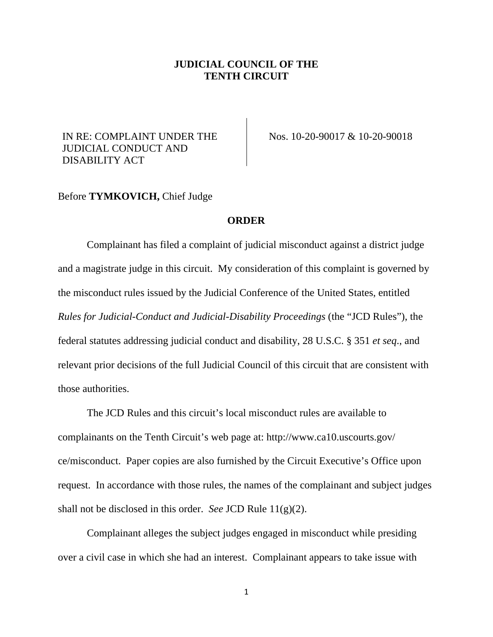## **JUDICIAL COUNCIL OF THE TENTH CIRCUIT**

## IN RE: COMPLAINT UNDER THE JUDICIAL CONDUCT AND DISABILITY ACT

Nos. 10-20-90017 & 10-20-90018

## Before **TYMKOVICH,** Chief Judge

## **ORDER**

Complainant has filed a complaint of judicial misconduct against a district judge and a magistrate judge in this circuit. My consideration of this complaint is governed by the misconduct rules issued by the Judicial Conference of the United States, entitled *Rules for Judicial-Conduct and Judicial-Disability Proceedings* (the "JCD Rules"), the federal statutes addressing judicial conduct and disability, 28 U.S.C. § 351 *et seq*., and relevant prior decisions of the full Judicial Council of this circuit that are consistent with those authorities.

The JCD Rules and this circuit's local misconduct rules are available to complainants on the Tenth Circuit's web page at: http://www.ca10.uscourts.gov/ ce/misconduct. Paper copies are also furnished by the Circuit Executive's Office upon request. In accordance with those rules, the names of the complainant and subject judges shall not be disclosed in this order. *See* JCD Rule 11(g)(2).

Complainant alleges the subject judges engaged in misconduct while presiding over a civil case in which she had an interest. Complainant appears to take issue with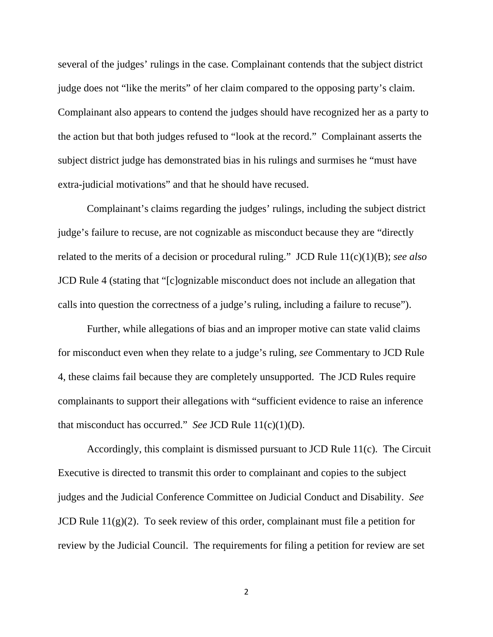several of the judges' rulings in the case. Complainant contends that the subject district judge does not "like the merits" of her claim compared to the opposing party's claim. Complainant also appears to contend the judges should have recognized her as a party to the action but that both judges refused to "look at the record." Complainant asserts the subject district judge has demonstrated bias in his rulings and surmises he "must have extra-judicial motivations" and that he should have recused.

Complainant's claims regarding the judges' rulings, including the subject district judge's failure to recuse, are not cognizable as misconduct because they are "directly related to the merits of a decision or procedural ruling." JCD Rule 11(c)(1)(B); *see also* JCD Rule 4 (stating that "[c]ognizable misconduct does not include an allegation that calls into question the correctness of a judge's ruling, including a failure to recuse").

Further, while allegations of bias and an improper motive can state valid claims for misconduct even when they relate to a judge's ruling, *see* Commentary to JCD Rule 4, these claims fail because they are completely unsupported. The JCD Rules require complainants to support their allegations with "sufficient evidence to raise an inference that misconduct has occurred." *See* JCD Rule 11(c)(1)(D).

Accordingly, this complaint is dismissed pursuant to JCD Rule 11(c). The Circuit Executive is directed to transmit this order to complainant and copies to the subject judges and the Judicial Conference Committee on Judicial Conduct and Disability. *See* JCD Rule 11(g)(2). To seek review of this order, complainant must file a petition for review by the Judicial Council. The requirements for filing a petition for review are set

2